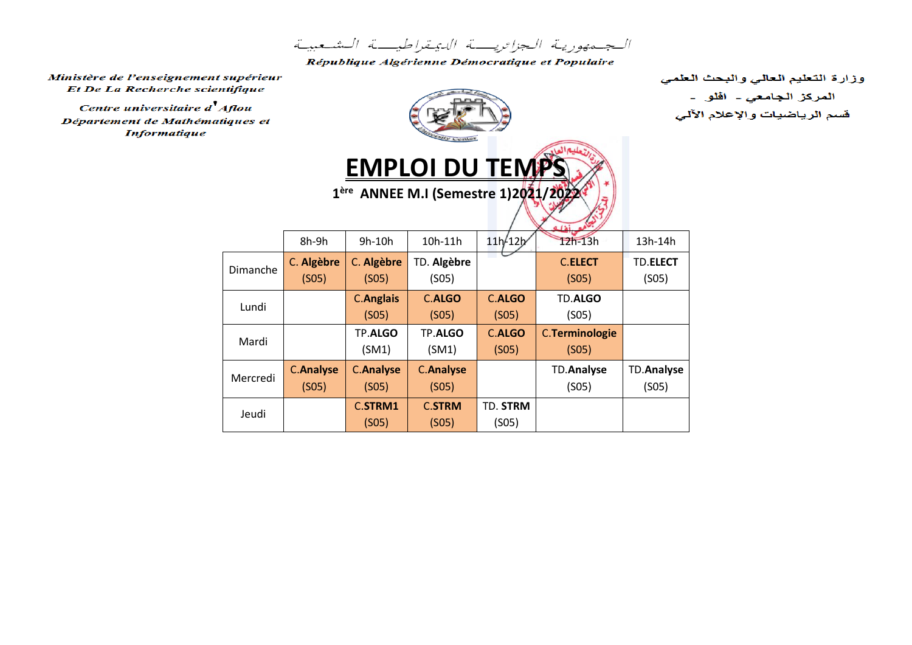الجمهورية الجزائريت الديمقراطيت الشعبية

République Algérienne Démocratique et Populaire

Ministère de l'enseignement supérieur Et De La Recherche scientifique

Centre universitaire d'Aflou Département de Mathématiques **Informatique** 

Jeudi

 $(S<sub>05</sub>)$ 

| supérieur<br>tifique<br>l flou<br>iques et |                           |                           | <b>WE Center</b><br><b>EMPLOI DU TEMPS</b><br>1 <sup>ère</sup> ANNEE M.I (Semestre 1)2021/2022 | وزارة التعليم العالي والبحث العلمي<br>المركز الجا <i>معي -</i> افلو -<br>قسم الرياضيات والإعلام الآلى |                                |                            |  |
|--------------------------------------------|---------------------------|---------------------------|------------------------------------------------------------------------------------------------|-------------------------------------------------------------------------------------------------------|--------------------------------|----------------------------|--|
|                                            | 8h-9h                     | 9h-10h                    | 10h-11h                                                                                        | 11h/12h                                                                                               | $12h-13h$                      | 13h-14h                    |  |
| Dimanche                                   | C. Algèbre<br>(SO5)       | C. Algèbre<br>(SO5)       | TD. Algèbre<br>(SO5)                                                                           |                                                                                                       | <b>C.ELECT</b><br>(SO5)        | TD.ELECT<br>(SO5)          |  |
| Lundi                                      |                           | <b>C.Anglais</b><br>(SO5) | <b>C.ALGO</b><br>(SO5)                                                                         | <b>C.ALGO</b><br>(SO5)                                                                                | TD.ALGO<br>(SO5)               |                            |  |
| Mardi                                      |                           | TP.ALGO<br>(SM1)          | TP.ALGO<br>(SM1)                                                                               | <b>C.ALGO</b><br>(SO5)                                                                                | <b>C.Terminologie</b><br>(SO5) |                            |  |
| Mercredi                                   | <b>C.Analyse</b><br>(SO5) | <b>C.Analyse</b><br>(SO5) | <b>C.Analyse</b><br>(S05)                                                                      |                                                                                                       | <b>TD.Analyse</b><br>(SO5)     | <b>TD.Analyse</b><br>(SO5) |  |
|                                            |                           | C.STRM1                   | <b>C.STRM</b>                                                                                  | TD. STRM                                                                                              |                                |                            |  |

 $(S05)$ 

 $(SO5)$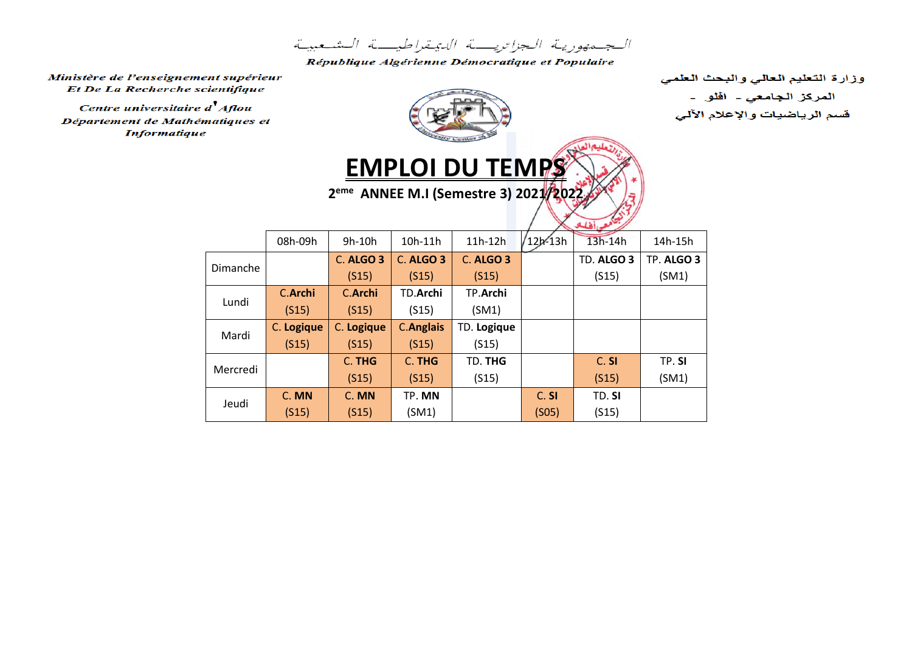الجهدورية الجزائريبة الدبمةراطيبة الشعبية

République Algérienne Démocratique et Populaire

Ministère de l'enseignement supérieur Et De La Recherche scientifique

Centre universitaire d'Aflou Département de Mathématiques et **Informatique** 







|          |            |            |                  |             |                    | ستني المتلفظ |            |  |  |
|----------|------------|------------|------------------|-------------|--------------------|--------------|------------|--|--|
|          | 08h-09h    | $9h-10h$   | 10h-11h          | 11h-12h     | 12h-13h            | 13h-14h      | 14h-15h    |  |  |
| Dimanche |            | C. ALGO 3  | C. ALGO 3        | C. ALGO 3   |                    | TD. ALGO 3   | TP. ALGO 3 |  |  |
|          |            | (S15)      | (S15)            | (S15)       |                    | (S15)        | (SM1)      |  |  |
| Lundi    | C.Archi    | C.Archi    | <b>TD.Archi</b>  | TP.Archi    |                    |              |            |  |  |
|          | (S15)      | (S15)      | (S15)            | (SM1)       |                    |              |            |  |  |
| Mardi    | C. Logique | C. Logique | <b>C.Anglais</b> | TD. Logique |                    |              |            |  |  |
|          | (S15)      | (S15)      | (S15)            | (S15)       |                    |              |            |  |  |
| Mercredi |            | C. THG     | C. THG           | TD. THG     |                    | C. SI        | TP.SI      |  |  |
|          |            | (S15)      | (S15)            | (S15)       |                    | (S15)        | (SM1)      |  |  |
| Jeudi    | C. MN      | C. MN      | TP. MN           |             | C. SI              | TD. SI       |            |  |  |
|          | (S15)      | (S15)      | (SM1)            |             | (S <sub>05</sub> ) | (S15)        |            |  |  |